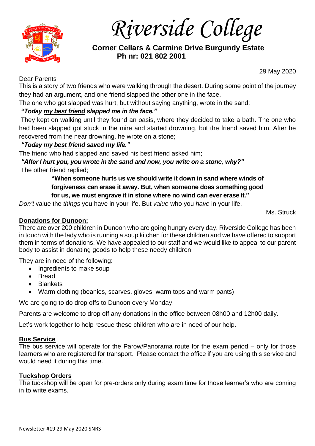

*Riverside College*

 **Corner Cellars & Carmine Drive Burgundy Estate Ph nr: 021 802 2001**

29 May 2020

### Dear Parents

This is a story of two friends who were walking through the desert. During some point of the journey they had an argument, and one friend slapped the other one in the face.

The one who got slapped was hurt, but without saying anything, wrote in the sand;

# *"Today my best [friend](https://wealthygorilla.com/best-friend-quotes/) slapped me in the face."*

They kept on walking until they found an oasis, where they decided to take a bath. The one who had been slapped got stuck in the mire and started drowning, but the friend saved him. After he recovered from the near drowning, he wrote on a stone;

## *"Today my best friend saved my life."*

The friend who had slapped and saved his best friend asked him;

*"After I hurt you, you wrote in the sand and now, you write on a stone, why?"* The other friend replied;

> **"When someone hurts us we should write it down in sand where winds of forgiveness can erase it away. But, when someone does something good for us, we must engrave it in stone where no wind can ever erase it."**

*Don't* value the *things* you have in your life. But *value* who you *have* in your life.

## **Donations for Dunoon:**

There are over 200 children in Dunoon who are going hungry every day. Riverside College has been in touch with the lady who is running a soup kitchen for these children and we have offered to support them in terms of donations. We have appealed to our staff and we would like to appeal to our parent body to assist in donating goods to help these needy children.

They are in need of the following:

- Ingredients to make soup
- Bread
- Blankets
- Warm clothing (beanies, scarves, gloves, warm tops and warm pants)

We are going to do drop offs to Dunoon every Monday.

Parents are welcome to drop off any donations in the office between 08h00 and 12h00 daily.

Let's work together to help rescue these children who are in need of our help.

### **Bus Service**

The bus service will operate for the Parow/Panorama route for the exam period – only for those learners who are registered for transport. Please contact the office if you are using this service and would need it during this time.

### **Tuckshop Orders**

The tuckshop will be open for pre-orders only during exam time for those learner's who are coming in to write exams.

Ms. Struck